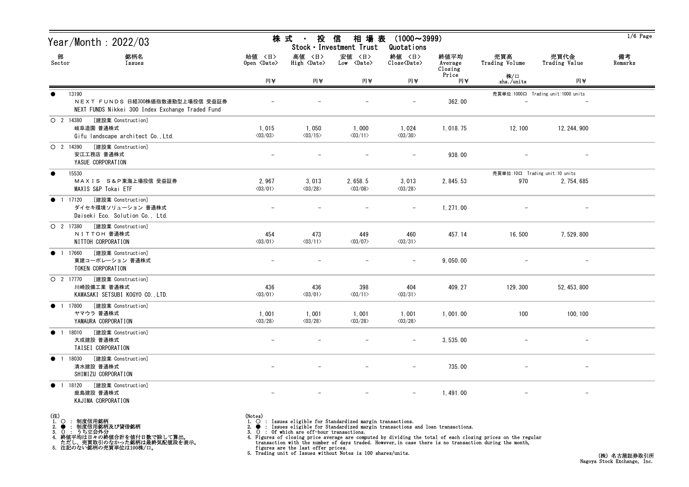| Year/Month: 2022/03               |                                                                                      | 株 式<br>投<br>信<br>相 場 表<br>$(1000 \sim 3999)$<br>$\blacksquare$<br>Stock · Investment Trust<br>Quotations |                                  |                                      |                                                    |                            |                       |                                               | $1/6$ Page    |
|-----------------------------------|--------------------------------------------------------------------------------------|----------------------------------------------------------------------------------------------------------|----------------------------------|--------------------------------------|----------------------------------------------------|----------------------------|-----------------------|-----------------------------------------------|---------------|
| 部<br>Sector                       | 銘柄名<br>Issues                                                                        | 始値 〈日〉<br>Open <date></date>                                                                             | 高値 〈日〉<br>High <date></date>     | 安値 〈日〉<br>$Low \langle Date \rangle$ | 終値 〈日〉<br>$\text{Close}\langle \text{Date}\rangle$ | 終値平均<br>Average<br>Closing | 売買高<br>Trading Volume | 売買代金<br>Trading Value                         | 備考<br>Remarks |
|                                   |                                                                                      | 円半                                                                                                       | 円¥                               | 円半                                   | 円半                                                 | Price<br>円半                | 株/口<br>shs./units     | 円半                                            |               |
| $\bullet$<br>13190                | NEXT FUNDS 日経300株価指数連動型上場投信 受益証券<br>NEXT FUNDS Nikkei 300 Index Exchange Traded Fund |                                                                                                          |                                  |                                      | $\qquad \qquad -$                                  | 362.00                     |                       | 売買単位:1000口 Trading unit:1000 units            |               |
| O 2 14380<br>岐阜造園 普通株式            | [建設業 Construction]<br>Gifu landscape architect Co., Ltd.                             | 1,015<br>$\langle 03/03 \rangle$                                                                         | 1,050<br>$\langle 03/15 \rangle$ | 1,000<br>$\langle 03/11 \rangle$     | 1,024<br>$\langle 03/30 \rangle$                   | 1, 018.75                  | 12, 100               | 12, 244, 900                                  |               |
| O 2 14390                         | [建設業 Construction]<br>安江工務店 普通株式<br>YASUE CORPORATION                                |                                                                                                          |                                  |                                      |                                                    | 938.00                     |                       |                                               |               |
| $\bullet$<br>15530                | MAXIS S&P東海上場投信 受益証券                                                                 | 2,967                                                                                                    | 3,013                            | 2,658.5                              | 3,013                                              | 2, 845. 53                 | 970                   | 売買単位:10口 Trading unit:10 units<br>2, 754, 685 |               |
|                                   | MAXIS S&P Tokai ETF                                                                  | $\langle 03/01 \rangle$                                                                                  | $\langle 03/28 \rangle$          | $\langle 03/08 \rangle$              | $\langle 03/28 \rangle$                            |                            |                       |                                               |               |
| ● 1 17120                         | [建設業 Construction]<br>ダイセキ環境ソリューション 普通株式<br>Daiseki Eco. Solution Co., Ltd.          |                                                                                                          |                                  |                                      | $\overline{\phantom{m}}$                           | 1, 271.00                  |                       |                                               |               |
| O 2 17380                         | [建設業 Construction]<br>NITTOH 普通株式<br>NITTOH CORPORATION                              | 454<br>$\langle 03/01 \rangle$                                                                           | 473<br>$\langle 03/11 \rangle$   | 449<br>$\langle 03/07 \rangle$       | 460<br>$\langle 03/31 \rangle$                     | 457.14                     | 16,500                | 7,529,800                                     |               |
| ● 1 17660                         | [建設業 Construction]<br>東建コーポレーション 普通株式<br>TOKEN CORPORATION                           |                                                                                                          |                                  |                                      | $\overline{\phantom{m}}$                           | 9,050.00                   |                       |                                               |               |
| O 2 17770                         | [建設業 Construction]<br>川崎設備工業 普通株式<br>KAWASAKI SETSUBI KOGYO CO., LTD.                | 436<br>$\langle 03/01 \rangle$                                                                           | 436<br>$\langle 03/01 \rangle$   | 398<br>$\langle 03/11 \rangle$       | 404<br>$\langle 03/31 \rangle$                     | 409.27                     | 129, 300              | 52, 453, 800                                  |               |
| ● 1 17800<br>ヤマウラ 普通株式            | [建設業 Construction]<br>YAMAURA CORPORATION                                            | 1,001<br>$\langle 03/28 \rangle$                                                                         | 1,001<br>$\langle 03/28 \rangle$ | 1,001<br>$\langle 03/28 \rangle$     | 1,001<br>$\langle 03/28 \rangle$                   | 1,001.00                   | 100                   | 100, 100                                      |               |
| $\bullet$<br>大成建設 普通株式            | 1 18010 [建設業 Construction]<br>TAISEI CORPORATION                                     |                                                                                                          |                                  |                                      | $-$                                                | 3, 535, 00                 | $\qquad \qquad -$     |                                               |               |
| $\bullet$<br>1 18030<br>清水建設 普通株式 | [建設業 Construction]<br>SHIMIZU CORPORATION                                            |                                                                                                          |                                  |                                      |                                                    | 735.00                     |                       |                                               |               |
| 1 18120<br>$\bullet$<br>鹿島建設 普通株式 | [建設業 Construction]<br>KAJIMA CORPORATION                                             |                                                                                                          |                                  |                                      |                                                    | 1,491.00                   |                       |                                               |               |
| (注)                               |                                                                                      | $(N_{n+es})$                                                                                             |                                  |                                      |                                                    |                            |                       |                                               |               |

(注) 1. ○ : 制度信用銘柄

2. ● : 制度信用銘柄及び貸借銘柄<br>3. () : うち立会外分<br>4. 終値平均は日々の終値合計を値付日数で除して算出。<br>ただし、売買取引のなかった銘柄は最終気配値段を表示。<br>5. 注記のない銘柄の売買単位は100株/口。

(Notes)<br>1. ○ : Issues eligible for Standardized margin transactions.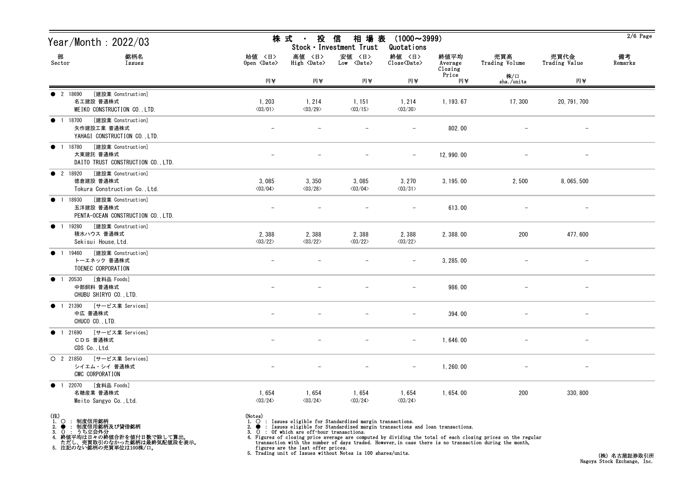| Year/Month: 2022/03                                                                           | 株 式<br>相場表<br>投<br>信<br>$(1000 \sim 3999)$<br>$\blacksquare$<br>Stock · Investment Trust<br>Quotations |                                   |                                   |                                   |                            |                          |                          | $2/6$ Page    |
|-----------------------------------------------------------------------------------------------|--------------------------------------------------------------------------------------------------------|-----------------------------------|-----------------------------------|-----------------------------------|----------------------------|--------------------------|--------------------------|---------------|
| 部<br>銘柄名<br>Sector<br>Issues                                                                  | 始値 〈日〉<br>Open $\langle$ Date $\rangle$                                                                | 高値 〈日〉<br>High <date></date>      | 安値 〈日〉<br>$Low \over \text{Date}$ | 終値 <日><br>Close <date></date>     | 終値平均<br>Average<br>Closing | 売買高<br>Trading Volume    | 売買代金<br>Trading Value    | 備考<br>Remarks |
|                                                                                               | 円半                                                                                                     | 円半                                | 円半                                | 円半                                | Price<br>円半                | 株/口<br>shs./units        | 円半                       |               |
| [建設業 Construction]<br><b>2</b> 18690<br>名工建設 普通株式<br>MEIKO CONSTRUCTION CO., LTD.             | 1, 203<br>$\langle 03/01 \rangle$                                                                      | 1, 214<br>$\langle 03/29 \rangle$ | 1, 151<br>$\langle 03/15 \rangle$ | 1, 214<br>$\langle 03/30 \rangle$ | 1, 193. 67                 | 17,300                   | 20, 791, 700             |               |
| [建設業 Construction]<br>1 18700<br>$\bullet$<br>矢作建設工業 普通株式<br>YAHAGI CONSTRUCTION CO., LTD.    | $\overline{\phantom{a}}$                                                                               |                                   |                                   | $\overline{\phantom{m}}$          | 802.00                     |                          | $\overline{\phantom{m}}$ |               |
| [建設業 Construction]<br>1 18780<br>$\bullet$<br>大東建託 普通株式<br>DAITO TRUST CONSTRUCTION CO., LTD. |                                                                                                        |                                   |                                   |                                   | 12, 990.00                 |                          |                          |               |
| [建設業 Construction]<br><b>2</b> 18920<br>徳倉建設 普通株式<br>Tokura Construction Co., Ltd.            | 3,085<br>$\langle 03/04 \rangle$                                                                       | 3,350<br>$\langle 03/28 \rangle$  | 3,085<br>$\langle 03/04 \rangle$  | 3,270<br>$\langle 03/31 \rangle$  | 3, 195.00                  | 2,500                    | 8, 065, 500              |               |
| [建設業 Construction]<br>18930<br>$\bullet$<br>五洋建設 普通株式<br>PENTA-OCEAN CONSTRUCTION CO., LTD.   |                                                                                                        |                                   |                                   | $-$                               | 613.00                     |                          | $\overline{\phantom{m}}$ |               |
| [建設業 Construction]<br>19280<br>$\bullet$<br>積水ハウス 普通株式<br>Sekisui House, Ltd.                 | 2,388<br>$\langle 03/22 \rangle$                                                                       | 2,388<br>$\langle 03/22 \rangle$  | 2,388<br>$\langle 03/22 \rangle$  | 2,388<br>$\langle 03/22 \rangle$  | 2, 388.00                  | 200                      | 477,600                  |               |
| [建設業 Construction]<br>19460<br>トーエネック 普通株式<br>TOENEC CORPORATION                              | $\overline{\phantom{m}}$                                                                               |                                   |                                   | $\overline{\phantom{m}}$          | 3, 285.00                  |                          | $\overline{\phantom{m}}$ |               |
| [食料品 Foods]<br>20530<br>$\bullet$<br>$\overline{1}$<br>中部飼料 普通株式<br>CHUBU SHIRYO CO., LTD.    |                                                                                                        |                                   |                                   |                                   | 986.00                     |                          | $\overline{\phantom{m}}$ |               |
| 1 21390 [サービス業 Services]<br>$\bullet$<br>中広 普通株式<br>CHUCO CO., LTD.                           |                                                                                                        |                                   |                                   | $\qquad \qquad -$                 | 394.00                     |                          | $\overline{\phantom{m}}$ |               |
| 1 21690 [サービス業 Services]<br>$\bullet$<br>CDS 普通株式<br>CDS Co., Ltd.                            | $\overline{\phantom{m}}$                                                                               | $\overline{\phantom{m}}$          | $-$                               | $ \,$                             | 1,646.00                   | $\overline{\phantom{m}}$ | $-$                      |               |
| [サービス業 Services]<br>$O$ 2 21850<br>シイエム・シイ 普通株式<br>CMC CORPORATION                            | $\overline{\phantom{a}}$                                                                               |                                   |                                   | $\qquad \qquad -$                 | 1, 260.00                  |                          | $\overline{\phantom{a}}$ |               |
| [食料品 Foods]<br>$\bullet$<br>22070<br>$\overline{1}$<br>名糖産業 普通株式<br>Meito Sangyo Co., Ltd.    | 1,654<br>$\langle 03/24 \rangle$                                                                       | 1,654<br>$\langle 03/24 \rangle$  | 1,654<br>$\langle 03/24 \rangle$  | 1,654<br>$\langle 03/24 \rangle$  | 1,654.00                   | 200                      | 330, 800                 |               |

(注)<br>1. ○<br>2. ●<br>3. ① 1. ○ : 制度信用銘柄

2. ● : 制度信用銘柄及び貸借銘柄<br>3. () : うち立会外分<br>4. 終値平均は日々の終値合計を値付日数で除して算出。<br>ただし、売買取引のなかった銘柄は最終気配値段を表示。<br>5. 注記のない銘柄の売買単位は100株/口。

(Notes)<br>1. ○ : Issues eligible for Standardized margin transactions.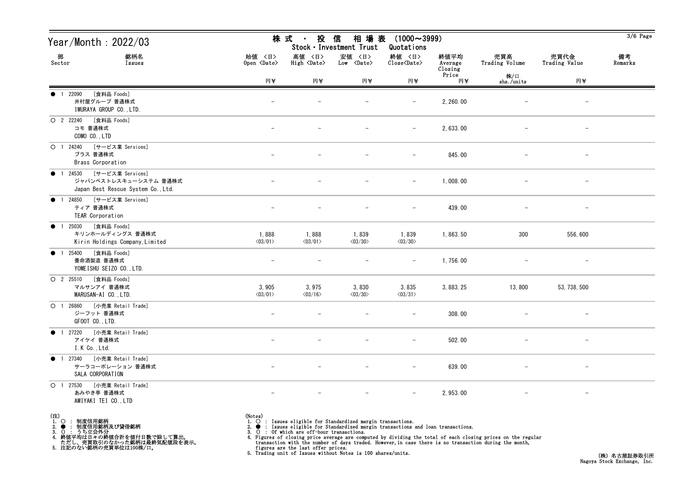| Year/Month: 2022/03                                                                               | 株 式<br>投<br>信<br>相 場 表<br>$(1000 \sim 3999)$<br>$\sim$<br>Stock · Investment Trust<br>Quotations |                                  |                                      |                                                    |                            |                          |                          | $3/6$ Page    |
|---------------------------------------------------------------------------------------------------|--------------------------------------------------------------------------------------------------|----------------------------------|--------------------------------------|----------------------------------------------------|----------------------------|--------------------------|--------------------------|---------------|
| 部<br>銘柄名<br>Sector<br>Issues                                                                      | 始値 〈日〉<br>Open <date></date>                                                                     | 高値 〈日〉<br>High <date></date>     | 安値 〈日〉<br>$Low \langle Date \rangle$ | 終値 〈日〉<br>$\text{Close}\langle \text{Date}\rangle$ | 終値平均<br>Average<br>Closing | 売買高<br>Trading Volume    | 売買代金<br>Trading Value    | 備考<br>Remarks |
|                                                                                                   | 円半                                                                                               | 円半                               | 円半                                   | 円半                                                 | Price<br>円半                | 株/口<br>shs./units        | 円半                       |               |
| [食料品 Foods]<br>● 1 22090<br>井村屋グループ 普通株式<br>IMURAYA GROUP CO., LTD.                               |                                                                                                  |                                  |                                      | $\overline{\phantom{m}}$                           | 2, 260.00                  |                          | $\overline{\phantom{a}}$ |               |
| [食料品 Foods]<br>O 2 22240<br>コモ 普通株式<br>COMO CO., LTD                                              |                                                                                                  |                                  |                                      | $-$                                                | 2, 633.00                  | $\overline{\phantom{m}}$ | $-$                      |               |
| [サービス業 Services]<br>O 1 24240<br>ブラス 普通株式<br>Brass Corporation                                    |                                                                                                  |                                  |                                      |                                                    | 845.00                     |                          |                          |               |
| [サービス業 Services]<br><b>1</b> 24530<br>ジャパンベストレスキューシステム 普通株式<br>Japan Best Rescue System Co., Ltd. |                                                                                                  |                                  |                                      | $\overline{\phantom{m}}$                           | 1,008.00                   |                          |                          |               |
| [サービス業 Services]<br>● 1 24850<br>ティア 普通株式<br>TEAR Corporation                                     |                                                                                                  |                                  |                                      | $\overline{\phantom{m}}$                           | 439.00                     |                          | $\overline{\phantom{m}}$ |               |
| [食料品 Foods]<br>1 25030<br>$\bullet$<br>キリンホールディングス 普通株式<br>Kirin Holdings Company, Limited        | 1,888<br>$\langle 03/01 \rangle$                                                                 | 1,888<br>$\langle 03/01 \rangle$ | 1,839<br>$\langle 03/30 \rangle$     | 1,839<br>$\langle 03/30 \rangle$                   | 1, 863.50                  | 300                      | 556,600                  |               |
| [食料品 Foods]<br><b>1</b> 25400<br>養命酒製造 普通株式<br>YOMEISHU SEIZO CO., LTD.                           | $\overline{\phantom{m}}$                                                                         |                                  |                                      | $-$                                                | 1,756.00                   |                          | $\overline{\phantom{m}}$ |               |
| [食料品 Foods]<br>$O$ 2 25510<br>マルサンアイ 普通株式<br>MARUSAN-AI CO., LTD.                                 | 3,905<br>$\langle 03/01 \rangle$                                                                 | 3,975<br>$\langle 03/16 \rangle$ | 3,830<br>$\langle 03/30 \rangle$     | 3,835<br>$\langle 03/31 \rangle$                   | 3, 883. 25                 | 13,800                   | 53, 738, 500             |               |
| O 1 26860 [小売業 Retail Trade]<br>ジーフット 普通株式<br>GFOOT CO., LTD.                                     |                                                                                                  |                                  |                                      |                                                    | 308.00                     |                          | $-$                      |               |
| ● 1 27220 [小売業 Retail Trade]<br>アイケイ 普通株式<br>I.K Co., Ltd.                                        |                                                                                                  |                                  | $\overline{\phantom{m}}$             | $-$                                                | 502.00                     | $-$                      | $-$                      |               |
| 1 27340 [小売業 Retail Trade]<br>$\bullet$<br>サーラコーポレーション 普通株式<br>SALA CORPORATION                   |                                                                                                  |                                  |                                      |                                                    | 639.00                     |                          |                          |               |
| 〇 1 27530 [小売業 Retail Trade]<br>あみやき亭 普通株式<br>AMIYAKI TEI CO., LTD                                |                                                                                                  |                                  |                                      |                                                    | 2, 953.00                  |                          |                          |               |

- (注)<br>1. ○<br>2. ●<br>3. ① 1. ○ : 制度信用銘柄
- 

2. ● : 制度信用銘柄及び貸借銘柄<br>3. () : うち立会外分<br>4. 終値平均は日々の終値合計を値付日数で除して算出。<br>ただし、売買取引のなかった銘柄は最終気配値段を表示。<br>5. 注記のない銘柄の売買単位は100株/口。

(Notes)<br>1. ○ : Issues eligible for Standardized margin transactions.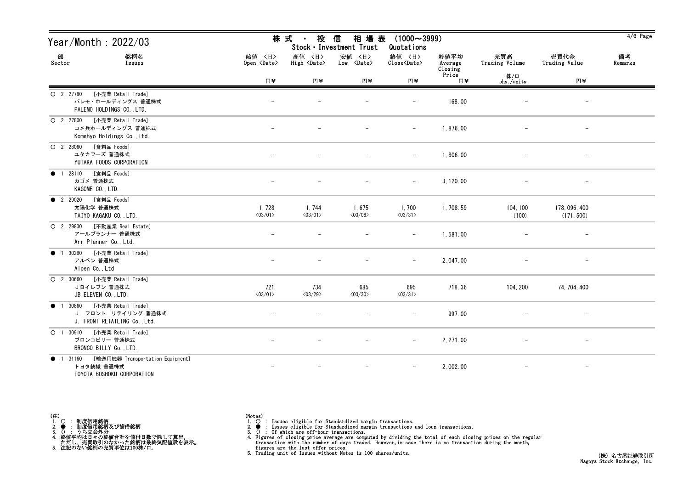| Year/Month: 2022/03                                                                                  |                                  | 株 式<br>投<br>信<br>相場表<br>$\blacksquare$<br>Stock · Investment Trust |                                  |                                  | $(1000 \sim 3999)$<br>Quotations |                          |                             |               |  |
|------------------------------------------------------------------------------------------------------|----------------------------------|--------------------------------------------------------------------|----------------------------------|----------------------------------|----------------------------------|--------------------------|-----------------------------|---------------|--|
| 部<br>銘柄名<br>Sector<br>Issues                                                                         | 始値 〈日〉<br>Open <date></date>     | 高値 〈日〉<br>$High \langle Date \rangle$                              | 安値 〈日〉<br>Low <date></date>      | 終値 〈日〉<br>Close <date></date>    | 終値平均<br>Average<br>Closing       | 売買高<br>Trading Volume    | 売買代金<br>Trading Value       | 備考<br>Remarks |  |
|                                                                                                      | 円半                               | 円半                                                                 | 円半                               | 円半                               | Price<br>円半                      | 株/口<br>shs./units        | 円半                          |               |  |
| [小売業 Retail Trade]<br>O 2 27780<br>パレモ・ホールディングス 普通株式<br>PALEMO HOLDINGS CO., LTD.                    |                                  |                                                                    |                                  |                                  | 168.00                           |                          |                             |               |  |
| [小売業 Retail Trade]<br>$O$ 2 27800<br>コメ兵ホールディングス 普通株式<br>Komehyo Holdings Co., Ltd.                  |                                  |                                                                    |                                  |                                  | 1,876.00                         |                          |                             |               |  |
| [食料品 Foods]<br>$O$ 2 28060<br>ユタカフーズ 普通株式<br>YUTAKA FOODS CORPORATION                                |                                  |                                                                    |                                  |                                  | 1,806.00                         |                          |                             |               |  |
| [食料品 Foods]<br>1 28110<br>$\bullet$<br>カゴメ 普通株式<br>KAGOME CO., LTD.                                  |                                  |                                                                    |                                  | $\overline{\phantom{m}}$         | 3, 120.00                        |                          |                             |               |  |
| [食料品 Foods]<br><b>2</b> 29020<br>太陽化学 普通株式<br>TAIYO KAGAKU CO., LTD.                                 | 1,728<br>$\langle 03/01 \rangle$ | 1,744<br>$\langle 03/01 \rangle$                                   | 1,675<br>$\langle 03/08 \rangle$ | 1,700<br>$\langle 03/31 \rangle$ | 1,708.59                         | 104, 100<br>(100)        | 178, 096, 400<br>(171, 500) |               |  |
| [不動産業 Real Estate]<br>$O$ 2 29830<br>アールプランナー 普通株式<br>Arr Planner Co., Ltd.                          |                                  |                                                                    |                                  |                                  | 1,581.00                         |                          |                             |               |  |
| 30280<br>[小売業 Retail Trade]<br>$\bullet$<br>$\overline{1}$<br>アルペン 普通株式<br>Alpen Co., Ltd            |                                  |                                                                    |                                  | $\overline{\phantom{m}}$         | 2, 047.00                        |                          |                             |               |  |
| $O$ 2 30660<br>[小売業 Retail Trade]<br>JBイレブン 普通株式<br>JB ELEVEN CO., LTD.                              | 721<br>$\langle 03/01 \rangle$   | 734<br>$\langle 03/29 \rangle$                                     | 685<br>$\langle 03/30 \rangle$   | 695<br>$\langle 03/31 \rangle$   | 718.36                           | 104, 200                 | 74, 704, 400                |               |  |
| [小売業 Retail Trade]<br>30860<br>$\bullet$ 1<br>J. フロント リテイリング 普通株式<br>J. FRONT RETAILING Co., Ltd.    |                                  |                                                                    |                                  |                                  | 997.00                           |                          |                             |               |  |
| [小売業 Retail Trade]<br>$O$ 1 30910<br>ブロンコビリー 普通株式<br>BRONCO BILLY Co., LTD.                          |                                  |                                                                    |                                  | $\overline{\phantom{m}}$         | 2, 271.00                        |                          | $-$                         |               |  |
| [輸送用機器 Transportation Equipment]<br>1 31160<br>$\bullet$<br>トヨタ紡織 普通株式<br>TOYOTA BOSHOKU CORPORATION |                                  |                                                                    |                                  | $\overline{\phantom{m}}$         | 2, 002. 00                       | $\overline{\phantom{m}}$ | $-$                         |               |  |

(注)<br>1. ○<br>2. ●<br>3. ① 1. ○ : 制度信用銘柄 - 2. ● : 制度信用銘柄及び貸借銘柄 3. () : うち立会外分 4. 終値平均は日々の終値合計を値付日数で除して算出。 ただし、売買取引のなかった銘柄は最終気配値段を表示。 5. 注記のない銘柄の売買単位は100株/口。

(Notes)<br>1. ○ : Issues eligible for Standardized margin transactions.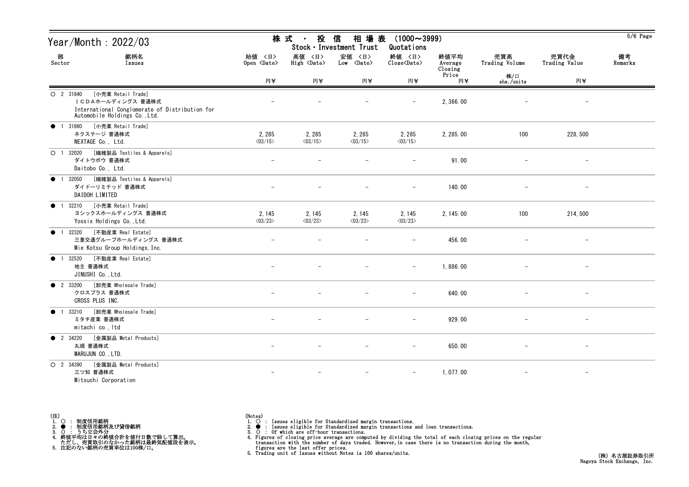| Year/Month : 2022/03                                                                                                                    | 株式<br>投<br>信<br>相場表<br>$(1000 \sim 3999)$<br>$\blacksquare$<br>Stock · Investment Trust<br>Quotations |                                   |                                      |                                                    |                            |                       |                          | $5/6$ Page    |
|-----------------------------------------------------------------------------------------------------------------------------------------|-------------------------------------------------------------------------------------------------------|-----------------------------------|--------------------------------------|----------------------------------------------------|----------------------------|-----------------------|--------------------------|---------------|
| 部<br>銘柄名<br>Sector<br>Issues                                                                                                            | 始値 〈日〉<br>Open <date></date>                                                                          | 高値<br>〈日〉<br>High <date></date>   | 安値 〈日〉<br>$Low \langle Date \rangle$ | 終値 〈日〉<br>$\text{Close}\langle \text{Date}\rangle$ | 終値平均<br>Average<br>Closing | 売買高<br>Trading Volume | 売買代金<br>Trading Value    | 備考<br>Remarks |
|                                                                                                                                         | 円半                                                                                                    | 円半                                | 円半                                   | 円半                                                 | Price<br>円半                | 株/口<br>shs./units     | 円半                       |               |
| [小売業 Retail Trade]<br>O 2 31840<br>ICDAホールディングス 普通株式<br>International Conglomerate of Distribution for<br>Automobile Holdings Co., Ltd. |                                                                                                       |                                   |                                      |                                                    | 2,366.00                   |                       | $\overline{\phantom{m}}$ |               |
| [小売業 Retail Trade]<br>● 1 31860<br>ネクステージ 普通株式<br>NEXTAGE Co., Ltd.                                                                     | 2, 285<br>$\langle 03/15 \rangle$                                                                     | 2, 285<br>$\langle 03/15 \rangle$ | 2, 285<br>$\langle 03/15 \rangle$    | 2,285<br>$\langle 03/15 \rangle$                   | 2, 285.00                  | 100                   | 228, 500                 |               |
| [繊維製品 Textiles & Apparels]<br>O <sub>1</sub><br>32020<br>ダイトウボウ 普通株式<br>Daitobo Co., Ltd.                                               | $\overline{\phantom{m}}$                                                                              | $\overline{\phantom{0}}$          |                                      | $\overline{\phantom{m}}$                           | 91.00                      | $\qquad \qquad -$     | $\overline{\phantom{a}}$ |               |
| [繊維製品 Textiles & Apparels]<br>32050<br>$\bullet$<br>ダイドーリミテッド 普通株式<br>DAIDOH LIMITED                                                    |                                                                                                       |                                   |                                      |                                                    | 140.00                     |                       |                          |               |
| [小売業 Retail Trade]<br>32210<br>$\bullet$ 1<br>ヨシックスホールディングス 普通株式<br>Yossix Holdings Co., Ltd.                                           | 2, 145<br>$\langle 03/23 \rangle$                                                                     | 2, 145<br>$\langle 03/23 \rangle$ | 2, 145<br>$\langle 03/23 \rangle$    | 2, 145<br>$\langle 03/23 \rangle$                  | 2, 145.00                  | 100                   | 214,500                  |               |
| [不動産業 Real Estate]<br>32320<br>$\bullet$ 1<br>三重交通グループホールディングス 普通株式<br>Mie Kotsu Group Holdings, Inc.                                   |                                                                                                       |                                   |                                      | $\overline{\phantom{0}}$                           | 456.00                     |                       | $\overline{\phantom{m}}$ |               |
| [不動産業 Real Estate]<br>32520<br>$\bullet$<br>地主 普通株式<br>JINUSHI Co., Ltd.                                                                |                                                                                                       |                                   |                                      | $\overline{\phantom{m}}$                           | 1,886.00                   |                       | $\qquad \qquad -$        |               |
| [卸売業 Wholesale Trade]<br><b>2</b> 33200<br>クロスプラス 普通株式<br>CROSS PLUS INC.                                                               | $\overline{\phantom{0}}$                                                                              | $\qquad \qquad -$                 |                                      | $\overline{\phantom{m}}$                           | 640.00                     |                       | $\overline{\phantom{m}}$ |               |
| 33210<br>[卸売業 Wholesale Trade]<br>$\bullet$<br>ミタチ産業 普通株式<br>mitachi co., Itd                                                           |                                                                                                       |                                   |                                      |                                                    | 929.00                     |                       | $\qquad \qquad -$        |               |
| [金属製品 Metal Products]<br><b>2</b> 34220<br>丸順 普通株式<br>MARUJUN CO., LTD.                                                                 |                                                                                                       |                                   |                                      | $\overline{\phantom{m}}$                           | 650.00                     |                       |                          |               |
| [金属製品 Metal Products]<br>O 2 34390<br>三ツ知 普通株式<br>Mitsuchi Corporation                                                                  |                                                                                                       | $\overline{\phantom{m}}$          |                                      | $\overline{\phantom{m}}$                           | 1,077.00                   |                       | $-$                      |               |

| 〈注〉 |  |        |              |                            |
|-----|--|--------|--------------|----------------------------|
|     |  | 制度信用銘柄 |              |                            |
|     |  |        | 制度信用銘柄及び貸借銘柄 |                            |
|     |  | うち立会外分 |              |                            |
|     |  |        |              | 終値平均は日々の終値合計を値付日数で除して算出。   |
|     |  |        |              | ただし、売買取引のなかった銘柄は最終気配値段を表示。 |
|     |  |        |              | 注記のない銘柄の売買単位は100株/口。       |

(Notes)<br>1. ○ : Issues eligible for Standardized margin transactions.